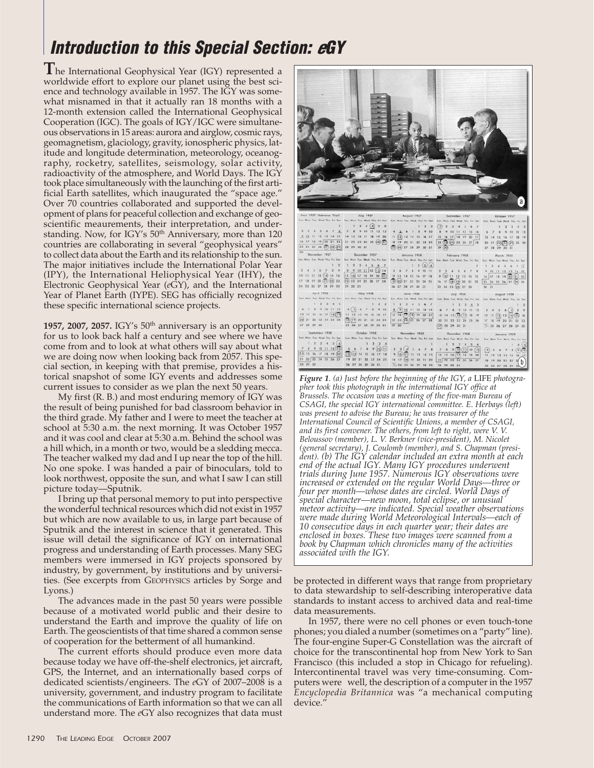## **Introduction to this Special Section: eGY**

**T**he International Geophysical Year (IGY) represented a worldwide effort to explore our planet using the best science and technology available in 1957. The IGY was somewhat misnamed in that it actually ran 18 months with a 12-month extension called the International Geophysical Cooperation (IGC). The goals of IGY/IGC were simultaneous observations in 15 areas: aurora and airglow, cosmic rays, geomagnetism, glaciology, gravity, ionospheric physics, latitude and longitude determination, meteorology, oceanography, rocketry, satellites, seismology, solar activity, radioactivity of the atmosphere, and World Days. The IGY took place simultaneously with the launching of the first artificial Earth satellites, which inaugurated the "space age." Over 70 countries collaborated and supported the development of plans for peaceful collection and exchange of geoscientific meaurements, their interpretation, and understanding. Now, for IGY's 50<sup>th</sup> Anniversary, more than 120 countries are collaborating in several "geophysical years" to collect data about the Earth and its relationship to the sun. The major initiatives include the International Polar Year (IPY), the International Heliophysical Year (IHY), the Electronic Geophysical Year (*e*GY), and the International Year of Planet Earth (IYPE). SEG has officially recognized these specific international science projects.

**1957, 2007, 2057.** IGY's 50th anniversary is an opportunity for us to look back half a century and see where we have come from and to look at what others will say about what we are doing now when looking back from 2057. This special section, in keeping with that premise, provides a historical snapshot of some IGY events and addresses some current issues to consider as we plan the next 50 years.

My first (R. B.) and most enduring memory of IGY was the result of being punished for bad classroom behavior in the third grade. My father and I were to meet the teacher at school at 5:30 a.m. the next morning. It was October 1957 and it was cool and clear at 5:30 a.m. Behind the school was a hill which, in a month or two, would be a sledding mecca. The teacher walked my dad and I up near the top of the hill. No one spoke. I was handed a pair of binoculars, told to look northwest, opposite the sun, and what I saw I can still picture today—Sputnik.

I bring up that personal memory to put into perspective the wonderful technical resources which did not exist in 1957 but which are now available to us, in large part because of Sputnik and the interest in science that it generated. This issue will detail the significance of IGY on international progress and understanding of Earth processes. Many SEG members were immersed in IGY projects sponsored by industry, by government, by institutions and by universities. (See excerpts from GEOPHYSICS articles by Sorge and Lyons.)

The advances made in the past 50 years were possible because of a motivated world public and their desire to understand the Earth and improve the quality of life on Earth. The geoscientists of that time shared a common sense of cooperation for the betterment of all humankind.

The current efforts should produce even more data because today we have off-the-shelf electronics, jet aircraft, GPS, the Internet, and an internationally based corps of dedicated scientists/engineers. The *e*GY of 2007–2008 is a university, government, and industry program to facilitate the communications of Earth information so that we can all understand more. The *e*GY also recognizes that data must



*Figure 1. (a) Just before the beginning of the IGY, a* LIFE *photographer took this photograph in the international IGY office at Brussels. The occasion was a meeting of the five-man Bureau of CSAGI, the special IGY international committee. E. Herbays (left) was present to advise the Bureau; he was treasurer of the International Council of Scientific Unions, a member of CSAGI, and its first convener. The others, from left to right, were V. V. Beloussov (member), L. V. Berkner (vice-president), M. Nicolet (general secretary), J. Coulomb (member), and S. Chapman (president). (b) The IGY calendar included an extra month at each end of the actual IGY. Many IGY procedures underwent trials during June 1957. Numerous IGY observations were increased or extended on the regular World Days—three or four per month—whose dates are circled. World Days of special character—new moon, total eclipse, or unusual meteor activity—are indicated. Special weather observations were made during World Meteorological Intervals—each of 10 consecutive days in each quarter year; their dates are enclosed in boxes. These two images were scanned from a book by Chapman which chronicles many of the activities associated with the IGY.* 

be protected in different ways that range from proprietary to data stewardship to self-describing interoperative data standards to instant access to archived data and real-time data measurements.

In 1957, there were no cell phones or even touch-tone phones; you dialed a number (sometimes on a "party" line). The four-engine Super-G Constellation was the aircraft of choice for the transcontinental hop from New York to San Francisco (this included a stop in Chicago for refueling). Intercontinental travel was very time-consuming. Computers were well, the description of a computer in the 1957 *Encyclopedia Britannica* was "a mechanical computing device."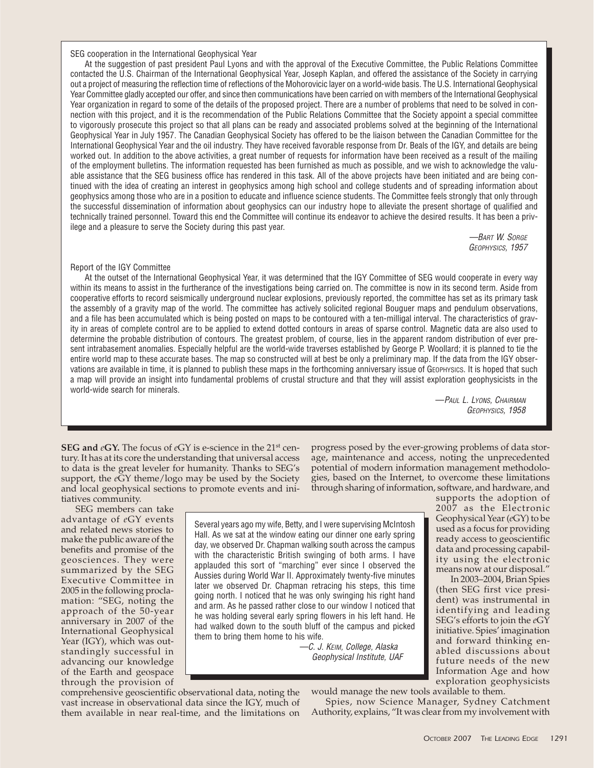SEG cooperation in the International Geophysical Year

At the suggestion of past president Paul Lyons and with the approval of the Executive Committee, the Public Relations Committee contacted the U.S. Chairman of the International Geophysical Year, Joseph Kaplan, and offered the assistance of the Society in carrying out a project of measuring the reflection time of reflections of the Mohorovicic layer on a world-wide basis. The U.S. International Geophysical Year Committee gladly accepted our offer, and since then communications have been carried on with members of the International Geophysical Year organization in regard to some of the details of the proposed project. There are a number of problems that need to be solved in connection with this project, and it is the recommendation of the Public Relations Committee that the Society appoint a special committee to vigorously prosecute this project so that all plans can be ready and associated problems solved at the beginning of the International Geophysical Year in July 1957. The Canadian Geophysical Society has offered to be the liaison between the Canadian Committee for the International Geophysical Year and the oil industry. They have received favorable response from Dr. Beals of the IGY, and details are being worked out. In addition to the above activities, a great number of requests for information have been received as a result of the mailing of the employment bulletins. The information requested has been furnished as much as possible, and we wish to acknowledge the valuable assistance that the SEG business office has rendered in this task. All of the above projects have been initiated and are being continued with the idea of creating an interest in geophysics among high school and college students and of spreading information about geophysics among those who are in a position to educate and influence science students. The Committee feels strongly that only through the successful dissemination of information about geophysics can our industry hope to alleviate the present shortage of qualified and technically trained personnel. Toward this end the Committee will continue its endeavor to achieve the desired results. It has been a privilege and a pleasure to serve the Society during this past year.

> —BART W. SORGE GEOPHYSICS, 1957

## Report of the IGY Committee

At the outset of the International Geophysical Year, it was determined that the IGY Committee of SEG would cooperate in every way within its means to assist in the furtherance of the investigations being carried on. The committee is now in its second term. Aside from cooperative efforts to record seismically underground nuclear explosions, previously reported, the committee has set as its primary task the assembly of a gravity map of the world. The committee has actively solicited regional Bouguer maps and pendulum observations, and a file has been accumulated which is being posted on maps to be contoured with a ten-milligal interval. The characteristics of gravity in areas of complete control are to be applied to extend dotted contours in areas of sparse control. Magnetic data are also used to determine the probable distribution of contours. The greatest problem, of course, lies in the apparent random distribution of ever present intrabasement anomalies. Especially helpful are the world-wide traverses established by George P. Woollard; it is planned to tie the entire world map to these accurate bases. The map so constructed will at best be only a preliminary map. If the data from the IGY observations are available in time, it is planned to publish these maps in the forthcoming anniversary issue of GEOPHYSICS. It is hoped that such a map will provide an insight into fundamental problems of crustal structure and that they will assist exploration geophysicists in the world-wide search for minerals.

—PAUL L. LYONS, CHAIRMAN GEOPHYSICS, 1958

**SEG and** *e***GY.** The focus of *e*GY is e-science in the 21st century. It has at its core the understanding that universal access to data is the great leveler for humanity. Thanks to SEG's support, the *e*GY theme/logo may be used by the Society and local geophysical sections to promote events and initiatives community.

SEG members can take advantage of *e*GY events and related news stories to make the public aware of the benefits and promise of the geosciences. They were summarized by the SEG Executive Committee in 2005 in the following proclamation: "SEG, noting the approach of the 50-year anniversary in 2007 of the International Geophysical Year (IGY), which was outstandingly successful in advancing our knowledge of the Earth and geospace through the provision of

comprehensive geoscientific observational data, noting the vast increase in observational data since the IGY, much of them available in near real-time, and the limitations on

progress posed by the ever-growing problems of data storage, maintenance and access, noting the unprecedented potential of modern information management methodologies, based on the Internet, to overcome these limitations through sharing of information, software, and hardware, and

Spies, now Science Manager, Sydney Catchment Authority, explains, "It was clear from my involvement with

Several years ago my wife, Betty, and I were supervising McIntosh Hall. As we sat at the window eating our dinner one early spring day, we observed Dr. Chapman walking south across the campus with the characteristic British swinging of both arms. I have applauded this sort of "marching" ever since I observed the Aussies during World War II. Approximately twenty-five minutes later we observed Dr. Chapman retracing his steps, this time going north. I noticed that he was only swinging his right hand and arm. As he passed rather close to our window I noticed that he was holding several early spring flowers in his left hand. He had walked down to the south bluff of the campus and picked them to bring them home to his wife.

> —C. J. KEIM, College, Alaska Geophysical Institute, UAF

supports the adoption of 2007 as the Electronic Geophysical Year (*e*GY) to be used as a focus for providing ready access to geoscientific data and processing capability using the electronic means now at our disposal."

In 2003–2004, Brian Spies (then SEG first vice president) was instrumental in identifying and leading SEG's efforts to join the *e*GY initiative. Spies' imagination and forward thinking enabled discussions about future needs of the new Information Age and how exploration geophysicists would manage the new tools available to them.